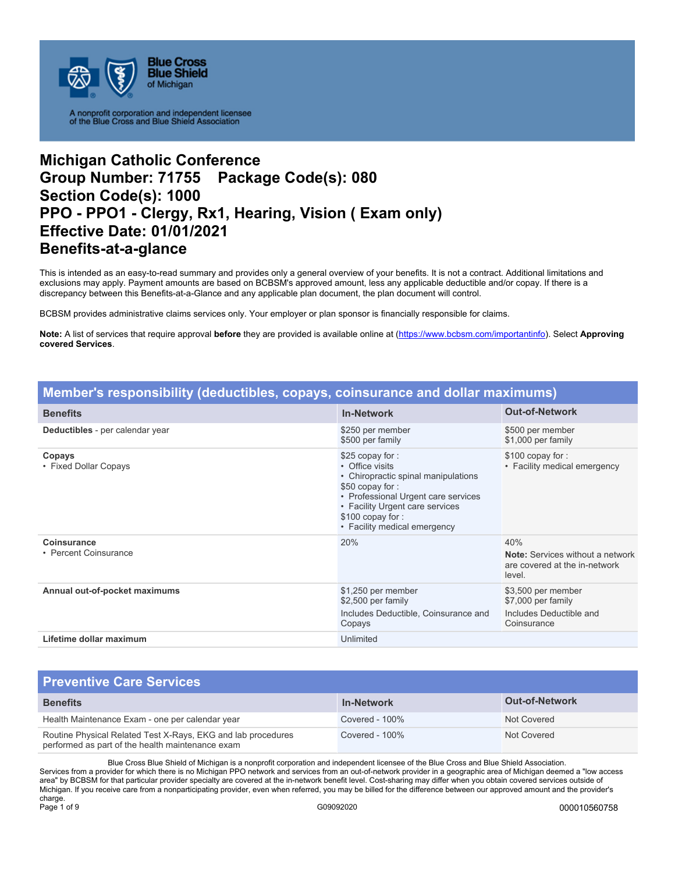

# **Michigan Catholic Conference Group Number: 71755 Package Code(s): 080 Section Code(s): 1000 PPO - PPO1 - Clergy, Rx1, Hearing, Vision ( Exam only) Effective Date: 01/01/2021 Benefits-at-a-glance**

This is intended as an easy-to-read summary and provides only a general overview of your benefits. It is not a contract. Additional limitations and exclusions may apply. Payment amounts are based on BCBSM's approved amount, less any applicable deductible and/or copay. If there is a discrepancy between this Benefits-at-a-Glance and any applicable plan document, the plan document will control.

BCBSM provides administrative claims services only. Your employer or plan sponsor is financially responsible for claims.

**Note:** A list of services that require approval **before** they are provided is available online at (https://www.bcbsm.com/importantinfo). Select **Approving covered Services**.

| Member's responsibility (deductibles, copays, coinsurance and dollar maximums) |                                                                                                                                                                                                                            |                                                                                           |
|--------------------------------------------------------------------------------|----------------------------------------------------------------------------------------------------------------------------------------------------------------------------------------------------------------------------|-------------------------------------------------------------------------------------------|
| <b>Benefits</b>                                                                | <b>In-Network</b>                                                                                                                                                                                                          | <b>Out-of-Network</b>                                                                     |
| Deductibles - per calendar year                                                | \$250 per member<br>\$500 per family                                                                                                                                                                                       | \$500 per member<br>\$1,000 per family                                                    |
| Copays<br>• Fixed Dollar Copays                                                | \$25 copay for:<br>• Office visits<br>• Chiropractic spinal manipulations<br>\$50 copay for:<br>• Professional Urgent care services<br>• Facility Urgent care services<br>\$100 copay for:<br>• Facility medical emergency | \$100 copay for:<br>• Facility medical emergency                                          |
| Coinsurance<br>• Percent Coinsurance                                           | 20%                                                                                                                                                                                                                        | 40%<br><b>Note:</b> Services without a network<br>are covered at the in-network<br>level. |
| Annual out-of-pocket maximums                                                  | \$1,250 per member<br>\$2,500 per family<br>Includes Deductible, Coinsurance and<br>Copays                                                                                                                                 | \$3,500 per member<br>\$7,000 per family<br>Includes Deductible and<br>Coinsurance        |
| Lifetime dollar maximum                                                        | Unlimited                                                                                                                                                                                                                  |                                                                                           |

#### **Preventive Care Services Benefits In-Network Out-of-Network**  Health Maintenance Exam - one per calendar year Covered - 100% Not Covered - 100% Routine Physical Related Test X-Rays, EKG and lab procedures performed as part of the health maintenance exam Covered - 100% Not Covered Not Covered

Blue Cross Blue Shield of Michigan is a nonprofit corporation and independent licensee of the Blue Cross and Blue Shield Association. Services from a provider for which there is no Michigan PPO network and services from an out-of-network provider in a geographic area of Michigan deemed a "low access area" by BCBSM for that particular provider specialty are covered at the in-network benefit level. Cost-sharing may differ when you obtain covered services outside of Michigan. If you receive care from a nonparticipating provider, even when referred, you may be billed for the difference between our approved amount and the provider's charge.<br>Page 1 of 9 Page 1 of 9 G09092020 000010560758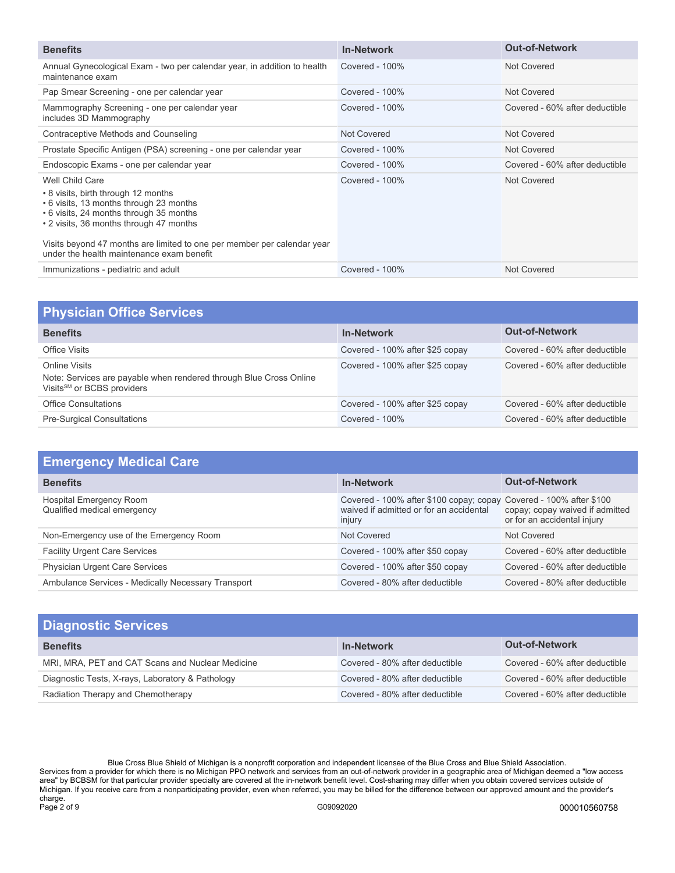| <b>Benefits</b>                                                                                                                                                                                                                                                                                                 | <b>In-Network</b> | <b>Out-of-Network</b>          |
|-----------------------------------------------------------------------------------------------------------------------------------------------------------------------------------------------------------------------------------------------------------------------------------------------------------------|-------------------|--------------------------------|
| Annual Gynecological Exam - two per calendar year, in addition to health<br>maintenance exam                                                                                                                                                                                                                    | Covered - 100%    | Not Covered                    |
| Pap Smear Screening - one per calendar year                                                                                                                                                                                                                                                                     | Covered - $100\%$ | Not Covered                    |
| Mammography Screening - one per calendar year<br>includes 3D Mammography                                                                                                                                                                                                                                        | Covered - 100%    | Covered - 60% after deductible |
| Contraceptive Methods and Counseling                                                                                                                                                                                                                                                                            | Not Covered       | Not Covered                    |
| Prostate Specific Antigen (PSA) screening - one per calendar year                                                                                                                                                                                                                                               | Covered - $100\%$ | Not Covered                    |
| Endoscopic Exams - one per calendar year                                                                                                                                                                                                                                                                        | Covered - $100\%$ | Covered - 60% after deductible |
| Well Child Care<br>• 8 visits, birth through 12 months<br>• 6 visits, 13 months through 23 months<br>• 6 visits, 24 months through 35 months<br>• 2 visits, 36 months through 47 months<br>Visits beyond 47 months are limited to one per member per calendar year<br>under the health maintenance exam benefit | Covered - $100\%$ | Not Covered                    |
| Immunizations - pediatric and adult                                                                                                                                                                                                                                                                             | Covered - 100%    | Not Covered                    |

| <b>Physician Office Services</b>                                                                                              |                                 |                                |
|-------------------------------------------------------------------------------------------------------------------------------|---------------------------------|--------------------------------|
| <b>Benefits</b>                                                                                                               | <b>In-Network</b>               | <b>Out-of-Network</b>          |
| Office Visits                                                                                                                 | Covered - 100% after \$25 copay | Covered - 60% after deductible |
| Online Visits<br>Note: Services are payable when rendered through Blue Cross Online<br>Visits <sup>SM</sup> or BCBS providers | Covered - 100% after \$25 copay | Covered - 60% after deductible |
| <b>Office Consultations</b>                                                                                                   | Covered - 100% after \$25 copay | Covered - 60% after deductible |
| <b>Pre-Surgical Consultations</b>                                                                                             | Covered - $100\%$               | Covered - 60% after deductible |

| <b>Emergency Medical Care</b>                          |                                                                                                                         |                                                                |
|--------------------------------------------------------|-------------------------------------------------------------------------------------------------------------------------|----------------------------------------------------------------|
| <b>Benefits</b>                                        | <b>In-Network</b>                                                                                                       | <b>Out-of-Network</b>                                          |
| Hospital Emergency Room<br>Qualified medical emergency | Covered - 100% after \$100 copay; copay Covered - 100% after \$100<br>waived if admitted or for an accidental<br>injury | copay; copay waived if admitted<br>or for an accidental injury |
| Non-Emergency use of the Emergency Room                | Not Covered                                                                                                             | Not Covered                                                    |
| <b>Facility Urgent Care Services</b>                   | Covered - 100% after \$50 copay                                                                                         | Covered - 60% after deductible                                 |
| <b>Physician Urgent Care Services</b>                  | Covered - 100% after \$50 copay                                                                                         | Covered - 60% after deductible                                 |
| Ambulance Services - Medically Necessary Transport     | Covered - 80% after deductible                                                                                          | Covered - 80% after deductible                                 |

| <b>Diagnostic Services</b>                       |                                |                                |
|--------------------------------------------------|--------------------------------|--------------------------------|
| <b>Benefits</b>                                  | <b>In-Network</b>              | <b>Out-of-Network</b>          |
| MRI, MRA, PET and CAT Scans and Nuclear Medicine | Covered - 80% after deductible | Covered - 60% after deductible |
| Diagnostic Tests, X-rays, Laboratory & Pathology | Covered - 80% after deductible | Covered - 60% after deductible |
| Radiation Therapy and Chemotherapy               | Covered - 80% after deductible | Covered - 60% after deductible |

Blue Cross Blue Shield of Michigan is a nonprofit corporation and independent licensee of the Blue Cross and Blue Shield Association. Services from a provider for which there is no Michigan PPO network and services from an out-of-network provider in a geographic area of Michigan deemed a "low access area" by BCBSM for that particular provider specialty are covered at the in-network benefit level. Cost-sharing may differ when you obtain covered services outside of Michigan. If you receive care from a nonparticipating provider, even when referred, you may be billed for the difference between our approved amount and the provider's charge. Page 2 of 9 G09092020 000010560758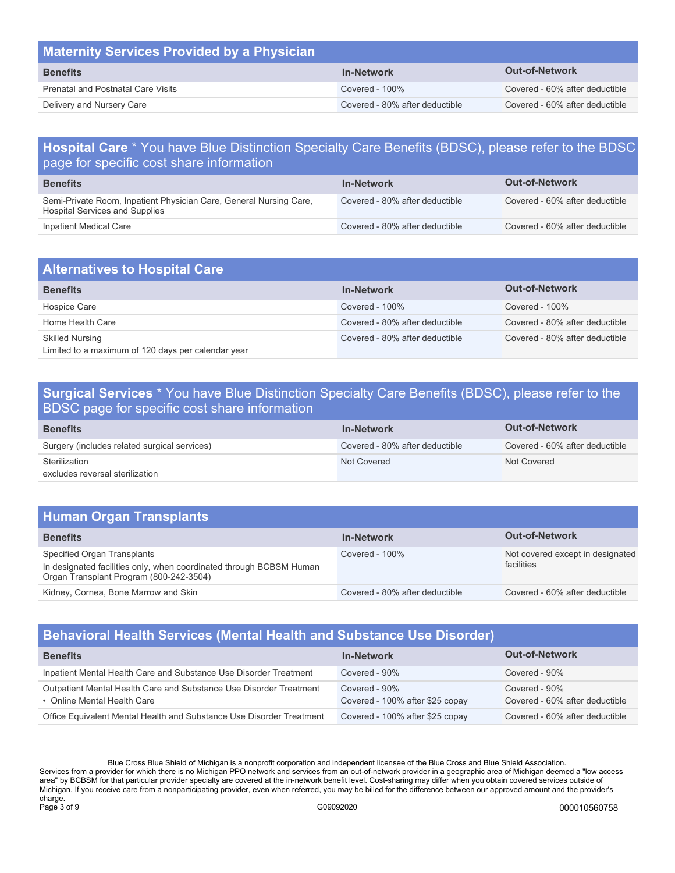| <b>Maternity Services Provided by a Physician</b> |                                |                                |
|---------------------------------------------------|--------------------------------|--------------------------------|
| <b>Benefits</b>                                   | <b>In-Network</b>              | <b>Out-of-Network</b>          |
| <b>Prenatal and Postnatal Care Visits</b>         | Covered - $100\%$              | Covered - 60% after deductible |
| Delivery and Nursery Care                         | Covered - 80% after deductible | Covered - 60% after deductible |

## **Hospital Care** \* You have Blue Distinction Specialty Care Benefits (BDSC), please refer to the BDSC page for specific cost share information

| <b>Benefits</b>                                                                                      | <b>In-Network</b>              | <b>Out-of-Network</b>          |
|------------------------------------------------------------------------------------------------------|--------------------------------|--------------------------------|
| Semi-Private Room, Inpatient Physician Care, General Nursing Care,<br>Hospital Services and Supplies | Covered - 80% after deductible | Covered - 60% after deductible |
| Inpatient Medical Care                                                                               | Covered - 80% after deductible | Covered - 60% after deductible |

| <b>Alternatives to Hospital Care</b>                                         |                                |                                |
|------------------------------------------------------------------------------|--------------------------------|--------------------------------|
| <b>Benefits</b>                                                              | <b>In-Network</b>              | <b>Out-of-Network</b>          |
| Hospice Care                                                                 | Covered - $100\%$              | Covered - $100\%$              |
| Home Health Care                                                             | Covered - 80% after deductible | Covered - 80% after deductible |
| <b>Skilled Nursing</b><br>Limited to a maximum of 120 days per calendar year | Covered - 80% after deductible | Covered - 80% after deductible |

## **Surgical Services** \* You have Blue Distinction Specialty Care Benefits (BDSC), please refer to the BDSC page for specific cost share information

| <b>Benefits</b>                                  | <b>In-Network</b>              | <b>Out-of-Network</b>          |
|--------------------------------------------------|--------------------------------|--------------------------------|
| Surgery (includes related surgical services)     | Covered - 80% after deductible | Covered - 60% after deductible |
| Sterilization<br>excludes reversal sterilization | Not Covered                    | Not Covered                    |

## **Human Organ Transplants**

| <b>Benefits</b>                                                                                                                               | <b>In-Network</b>              | <b>Out-of-Network</b>                          |
|-----------------------------------------------------------------------------------------------------------------------------------------------|--------------------------------|------------------------------------------------|
| Specified Organ Transplants<br>In designated facilities only, when coordinated through BCBSM Human<br>Organ Transplant Program (800-242-3504) | Covered - $100\%$              | Not covered except in designated<br>facilities |
| Kidney, Cornea, Bone Marrow and Skin                                                                                                          | Covered - 80% after deductible | Covered - 60% after deductible                 |

## **Behavioral Health Services (Mental Health and Substance Use Disorder)**

| <b>Benefits</b>                                                                                   | <b>In-Network</b>                                | <b>Out-of-Network</b>                           |
|---------------------------------------------------------------------------------------------------|--------------------------------------------------|-------------------------------------------------|
| Inpatient Mental Health Care and Substance Use Disorder Treatment                                 | Covered - 90%                                    | Covered - 90%                                   |
| Outpatient Mental Health Care and Substance Use Disorder Treatment<br>• Online Mental Health Care | Covered - 90%<br>Covered - 100% after \$25 copay | Covered - 90%<br>Covered - 60% after deductible |
| Office Equivalent Mental Health and Substance Use Disorder Treatment                              | Covered - 100% after \$25 copay                  | Covered - 60% after deductible                  |

Blue Cross Blue Shield of Michigan is a nonprofit corporation and independent licensee of the Blue Cross and Blue Shield Association. Services from a provider for which there is no Michigan PPO network and services from an out-of-network provider in a geographic area of Michigan deemed a "low access area" by BCBSM for that particular provider specialty are covered at the in-network benefit level. Cost-sharing may differ when you obtain covered services outside of Michigan. If you receive care from a nonparticipating provider, even when referred, you may be billed for the difference between our approved amount and the provider's charge.<br>Page 3 of 9 Page 3 of 9 G09092020 000010560758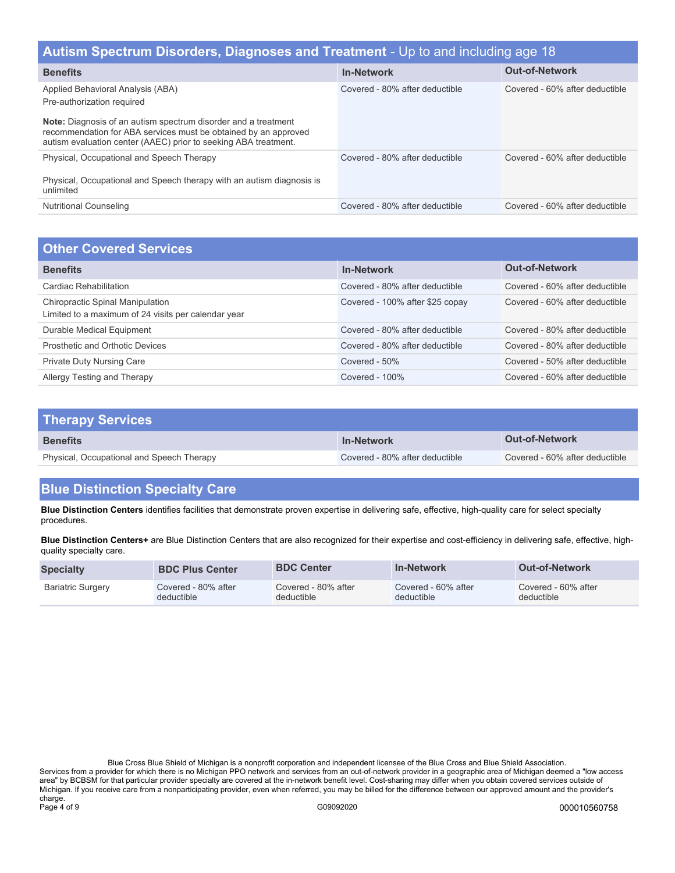| Autism Spectrum Disorders, Diagnoses and Treatment - Up to and including age 18                                                                                                                             |                                |                                |  |
|-------------------------------------------------------------------------------------------------------------------------------------------------------------------------------------------------------------|--------------------------------|--------------------------------|--|
| <b>Benefits</b>                                                                                                                                                                                             | <b>In-Network</b>              | <b>Out-of-Network</b>          |  |
| Applied Behavioral Analysis (ABA)<br>Pre-authorization required                                                                                                                                             | Covered - 80% after deductible | Covered - 60% after deductible |  |
| <b>Note:</b> Diagnosis of an autism spectrum disorder and a treatment<br>recommendation for ABA services must be obtained by an approved<br>autism evaluation center (AAEC) prior to seeking ABA treatment. |                                |                                |  |
| Physical, Occupational and Speech Therapy<br>Physical, Occupational and Speech therapy with an autism diagnosis is<br>unlimited                                                                             | Covered - 80% after deductible | Covered - 60% after deductible |  |
| <b>Nutritional Counseling</b>                                                                                                                                                                               | Covered - 80% after deductible | Covered - 60% after deductible |  |

| <b>Other Covered Services</b>                                                                  |                                 |                                |
|------------------------------------------------------------------------------------------------|---------------------------------|--------------------------------|
| <b>Benefits</b>                                                                                | <b>In-Network</b>               | <b>Out-of-Network</b>          |
| Cardiac Rehabilitation                                                                         | Covered - 80% after deductible  | Covered - 60% after deductible |
| <b>Chiropractic Spinal Manipulation</b><br>Limited to a maximum of 24 visits per calendar year | Covered - 100% after \$25 copay | Covered - 60% after deductible |
| Durable Medical Equipment                                                                      | Covered - 80% after deductible  | Covered - 80% after deductible |
| Prosthetic and Orthotic Devices                                                                | Covered - 80% after deductible  | Covered - 80% after deductible |
| <b>Private Duty Nursing Care</b>                                                               | Covered - 50%                   | Covered - 50% after deductible |
| Allergy Testing and Therapy                                                                    | Covered - $100\%$               | Covered - 60% after deductible |

| <b>Therapy Services</b>                   |                                |                                |
|-------------------------------------------|--------------------------------|--------------------------------|
| <b>Benefits</b>                           | <b>In-Network</b>              | <b>Out-of-Network</b>          |
| Physical, Occupational and Speech Therapy | Covered - 80% after deductible | Covered - 60% after deductible |

# **Blue Distinction Specialty Care**

**Blue Distinction Centers** identifies facilities that demonstrate proven expertise in delivering safe, effective, high-quality care for select specialty procedures.

**Blue Distinction Centers+** are Blue Distinction Centers that are also recognized for their expertise and cost-efficiency in delivering safe, effective, highquality specialty care.

| <b>Specialty</b>         | <b>BDC Plus Center</b> | <b>BDC Center</b>   | <b>In-Network</b>   | <b>Out-of-Network</b> |
|--------------------------|------------------------|---------------------|---------------------|-----------------------|
| <b>Bariatric Surgery</b> | Covered - 80% after    | Covered - 80% after | Covered - 60% after | Covered - 60% after   |
|                          | deductible             | deductible          | deductible          | deductible            |

Blue Cross Blue Shield of Michigan is a nonprofit corporation and independent licensee of the Blue Cross and Blue Shield Association. Services from a provider for which there is no Michigan PPO network and services from an out-of-network provider in a geographic area of Michigan deemed a "low access area" by BCBSM for that particular provider specialty are covered at the in-network benefit level. Cost-sharing may differ when you obtain covered services outside of Michigan. If you receive care from a nonparticipating provider, even when referred, you may be billed for the difference between our approved amount and the provider's charge.<br>Page 4 of 9 Page 4 of 9 G09092020 000010560758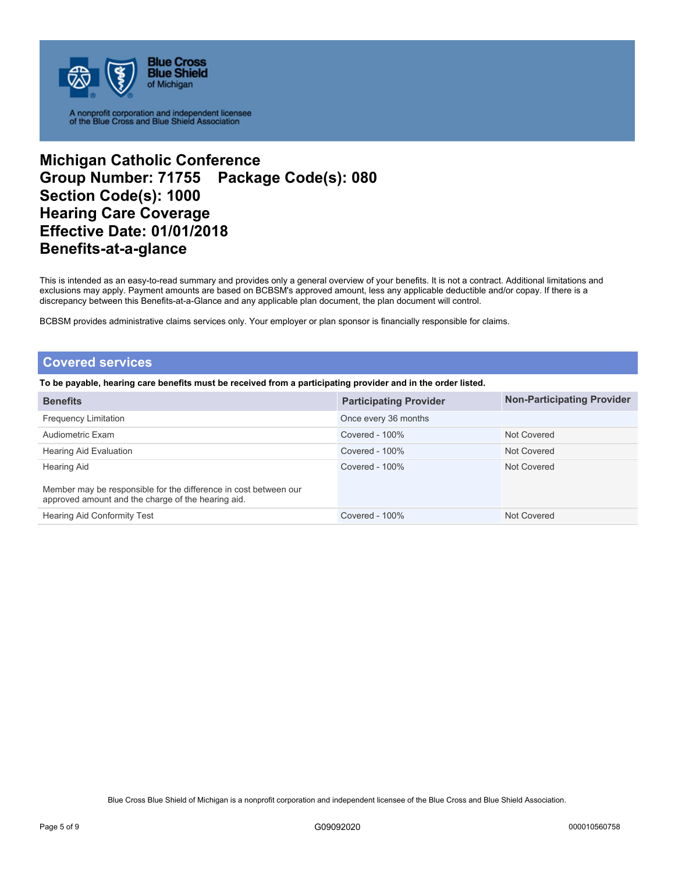

## **Michigan Catholic Conference Group Number: 71755 Package Code(s): 080 Section Code(s): 1000 Hearing Care Coverage Effective Date: 01/01/2018 Benefits-at-a-glance**

This is intended as an easy-to-read summary and provides only a general overview of your benefits. It is not a contract. Additional limitations and exclusions may apply. Payment amounts are based on BCBSM's approved amount, less any applicable deductible and/or copay. If there is a discrepancy between this Benefits-at-a-Glance and any applicable plan document, the plan document will control.

BCBSM provides administrative claims services only. Your employer or plan sponsor is financially responsible for claims.

### **Covered services**

**To be payable, hearing care benefits must be received from a participating provider and in the order listed.** 

| <b>Benefits</b>                                                                                                        | <b>Participating Provider</b> | <b>Non-Participating Provider</b> |
|------------------------------------------------------------------------------------------------------------------------|-------------------------------|-----------------------------------|
| <b>Frequency Limitation</b>                                                                                            | Once every 36 months          |                                   |
| Audiometric Exam                                                                                                       | Covered - 100%                | Not Covered                       |
| Hearing Aid Evaluation                                                                                                 | Covered - $100\%$             | Not Covered                       |
| Hearing Aid                                                                                                            | Covered - $100\%$             | Not Covered                       |
| Member may be responsible for the difference in cost between our<br>approved amount and the charge of the hearing aid. |                               |                                   |
| <b>Hearing Aid Conformity Test</b>                                                                                     | Covered - $100\%$             | Not Covered                       |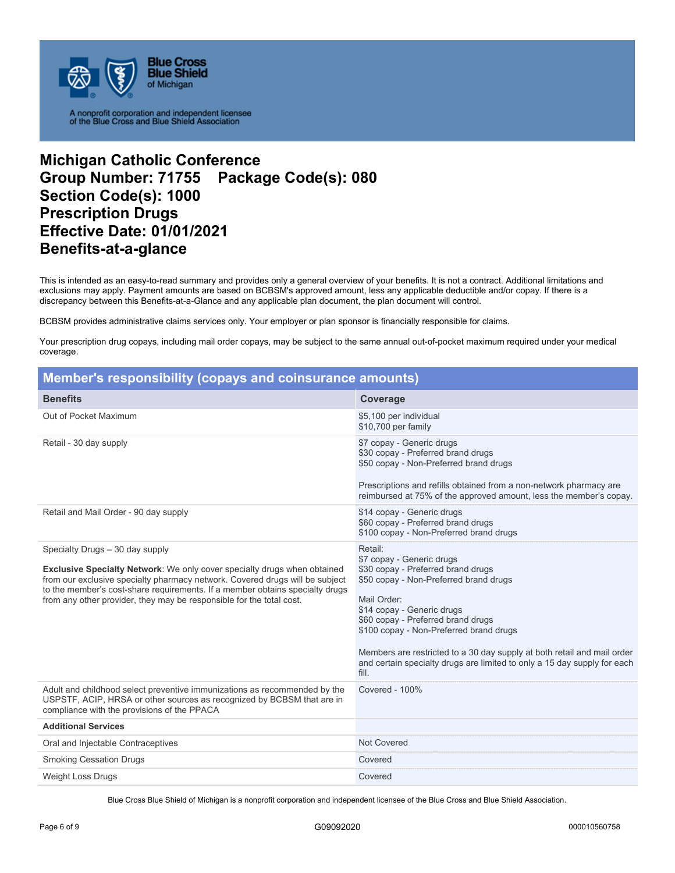

## **Michigan Catholic Conference Group Number: 71755 Package Code(s): 080 Section Code(s): 1000 Prescription Drugs Effective Date: 01/01/2021 Benefits-at-a-glance**

This is intended as an easy-to-read summary and provides only a general overview of your benefits. It is not a contract. Additional limitations and exclusions may apply. Payment amounts are based on BCBSM's approved amount, less any applicable deductible and/or copay. If there is a discrepancy between this Benefits-at-a-Glance and any applicable plan document, the plan document will control.

BCBSM provides administrative claims services only. Your employer or plan sponsor is financially responsible for claims.

Your prescription drug copays, including mail order copays, may be subject to the same annual out-of-pocket maximum required under your medical coverage.

| Member's responsibility (copays and coinsurance amounts)                                                                                                                                                                                                                                                                                                   |                                                                                                                                                                                                                                                                                                                                                                                                                    |
|------------------------------------------------------------------------------------------------------------------------------------------------------------------------------------------------------------------------------------------------------------------------------------------------------------------------------------------------------------|--------------------------------------------------------------------------------------------------------------------------------------------------------------------------------------------------------------------------------------------------------------------------------------------------------------------------------------------------------------------------------------------------------------------|
| <b>Benefits</b>                                                                                                                                                                                                                                                                                                                                            | Coverage                                                                                                                                                                                                                                                                                                                                                                                                           |
| Out of Pocket Maximum                                                                                                                                                                                                                                                                                                                                      | \$5,100 per individual<br>\$10,700 per family                                                                                                                                                                                                                                                                                                                                                                      |
| Retail - 30 day supply                                                                                                                                                                                                                                                                                                                                     | \$7 copay - Generic drugs<br>\$30 copay - Preferred brand drugs<br>\$50 copay - Non-Preferred brand drugs<br>Prescriptions and refills obtained from a non-network pharmacy are<br>reimbursed at 75% of the approved amount, less the member's copay.                                                                                                                                                              |
| Retail and Mail Order - 90 day supply                                                                                                                                                                                                                                                                                                                      | \$14 copay - Generic drugs<br>\$60 copay - Preferred brand drugs<br>\$100 copay - Non-Preferred brand drugs                                                                                                                                                                                                                                                                                                        |
| Specialty Drugs - 30 day supply<br><b>Exclusive Specialty Network:</b> We only cover specialty drugs when obtained<br>from our exclusive specialty pharmacy network. Covered drugs will be subject<br>to the member's cost-share requirements. If a member obtains specialty drugs<br>from any other provider, they may be responsible for the total cost. | Retail:<br>\$7 copay - Generic drugs<br>\$30 copay - Preferred brand drugs<br>\$50 copay - Non-Preferred brand drugs<br>Mail Order:<br>\$14 copay - Generic drugs<br>\$60 copay - Preferred brand drugs<br>\$100 copay - Non-Preferred brand drugs<br>Members are restricted to a 30 day supply at both retail and mail order<br>and certain specialty drugs are limited to only a 15 day supply for each<br>fill. |
| Adult and childhood select preventive immunizations as recommended by the<br>USPSTF, ACIP, HRSA or other sources as recognized by BCBSM that are in<br>compliance with the provisions of the PPACA                                                                                                                                                         | Covered - 100%                                                                                                                                                                                                                                                                                                                                                                                                     |
| <b>Additional Services</b>                                                                                                                                                                                                                                                                                                                                 |                                                                                                                                                                                                                                                                                                                                                                                                                    |
| Oral and Injectable Contraceptives                                                                                                                                                                                                                                                                                                                         | <b>Not Covered</b>                                                                                                                                                                                                                                                                                                                                                                                                 |
| <b>Smoking Cessation Drugs</b>                                                                                                                                                                                                                                                                                                                             | Covered                                                                                                                                                                                                                                                                                                                                                                                                            |
| <b>Weight Loss Drugs</b>                                                                                                                                                                                                                                                                                                                                   | Covered                                                                                                                                                                                                                                                                                                                                                                                                            |

Blue Cross Blue Shield of Michigan is a nonprofit corporation and independent licensee of the Blue Cross and Blue Shield Association.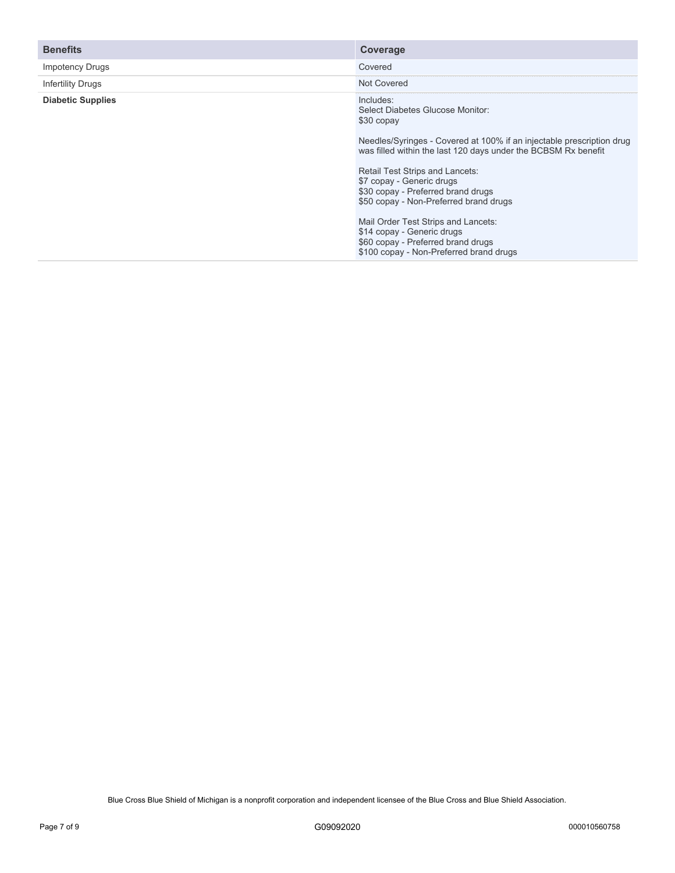| <b>Benefits</b>          | Coverage                                                                                                                                                                                                                                                                                                                                               |
|--------------------------|--------------------------------------------------------------------------------------------------------------------------------------------------------------------------------------------------------------------------------------------------------------------------------------------------------------------------------------------------------|
| <b>Impotency Drugs</b>   | Covered                                                                                                                                                                                                                                                                                                                                                |
| <b>Infertility Drugs</b> | Not Covered                                                                                                                                                                                                                                                                                                                                            |
| <b>Diabetic Supplies</b> | Includes:<br>Select Diabetes Glucose Monitor:<br>\$30 copay<br>Needles/Syringes - Covered at 100% if an injectable prescription drug<br>was filled within the last 120 days under the BCBSM Rx benefit<br>Retail Test Strips and Lancets:<br>\$7 copay - Generic drugs<br>\$30 copay - Preferred brand drugs<br>\$50 copay - Non-Preferred brand drugs |
|                          | Mail Order Test Strips and Lancets:<br>\$14 copay - Generic drugs<br>\$60 copay - Preferred brand drugs<br>\$100 copay - Non-Preferred brand drugs                                                                                                                                                                                                     |

Blue Cross Blue Shield of Michigan is a nonprofit corporation and independent licensee of the Blue Cross and Blue Shield Association.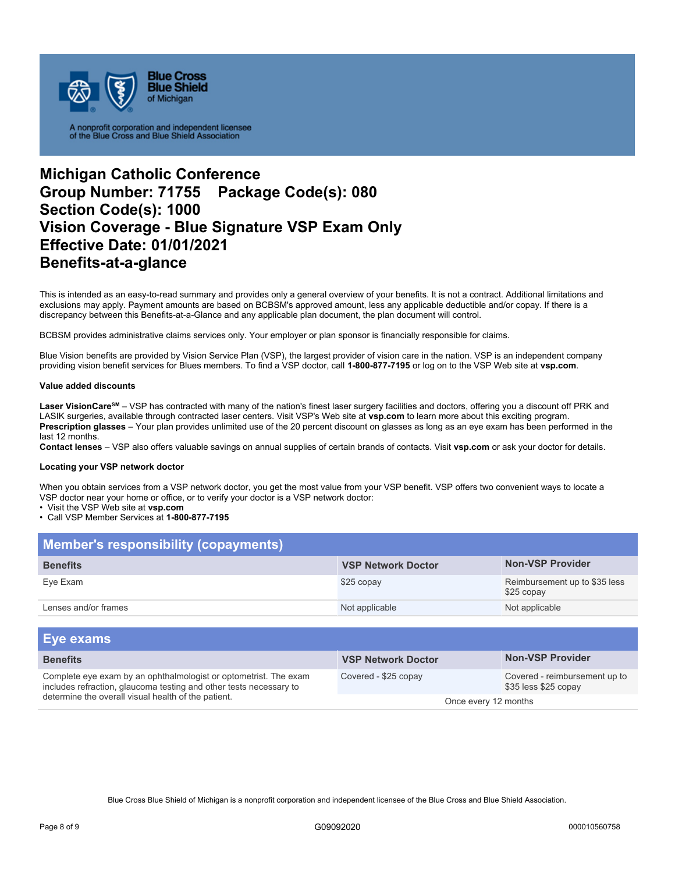

## **Michigan Catholic Conference Group Number: 71755 Package Code(s): 080 Section Code(s): 1000 Vision Coverage - Blue Signature VSP Exam Only Effective Date: 01/01/2021 Benefits-at-a-glance**

This is intended as an easy-to-read summary and provides only a general overview of your benefits. It is not a contract. Additional limitations and exclusions may apply. Payment amounts are based on BCBSM's approved amount, less any applicable deductible and/or copay. If there is a discrepancy between this Benefits-at-a-Glance and any applicable plan document, the plan document will control.

BCBSM provides administrative claims services only. Your employer or plan sponsor is financially responsible for claims.

Blue Vision benefits are provided by Vision Service Plan (VSP), the largest provider of vision care in the nation. VSP is an independent company providing vision benefit services for Blues members. To find a VSP doctor, call **1-800-877-7195** or log on to the VSP Web site at **vsp.com**.

#### **Value added discounts**

Laser VisionCare<sup>sM</sup> – VSP has contracted with many of the nation's finest laser surgery facilities and doctors, offering you a discount off PRK and LASIK surgeries, available through contracted laser centers. Visit VSP's Web site at **vsp.com** to learn more about this exciting program. **Prescription glasses** – Your plan provides unlimited use of the 20 percent discount on glasses as long as an eye exam has been performed in the last 12 months.

**Contact lenses** – VSP also offers valuable savings on annual supplies of certain brands of contacts. Visit **vsp.com** or ask your doctor for details.

#### **Locating your VSP network doctor**

When you obtain services from a VSP network doctor, you get the most value from your VSP benefit. VSP offers two convenient ways to locate a VSP doctor near your home or office, or to verify your doctor is a VSP network doctor:

• Visit the VSP Web site at **vsp.com** 

#### • Call VSP Member Services at **1-800-877-7195**

| <b>Member's responsibility (copayments)</b> |                           |                                             |
|---------------------------------------------|---------------------------|---------------------------------------------|
| <b>Benefits</b>                             | <b>VSP Network Doctor</b> | <b>Non-VSP Provider</b>                     |
| Eye Exam                                    | \$25 copay                | Reimbursement up to \$35 less<br>\$25 copay |
| Lenses and/or frames                        | Not applicable            | Not applicable                              |

| <b>Eye exams</b>                                                                                                                                                                              |                           |                                                       |
|-----------------------------------------------------------------------------------------------------------------------------------------------------------------------------------------------|---------------------------|-------------------------------------------------------|
| <b>Benefits</b>                                                                                                                                                                               | <b>VSP Network Doctor</b> | <b>Non-VSP Provider</b>                               |
| Complete eye exam by an ophthalmologist or optometrist. The exam<br>includes refraction, glaucoma testing and other tests necessary to<br>determine the overall visual health of the patient. | Covered - \$25 copay      | Covered - reimbursement up to<br>\$35 less \$25 copay |
|                                                                                                                                                                                               | Once every 12 months      |                                                       |

Blue Cross Blue Shield of Michigan is a nonprofit corporation and independent licensee of the Blue Cross and Blue Shield Association.